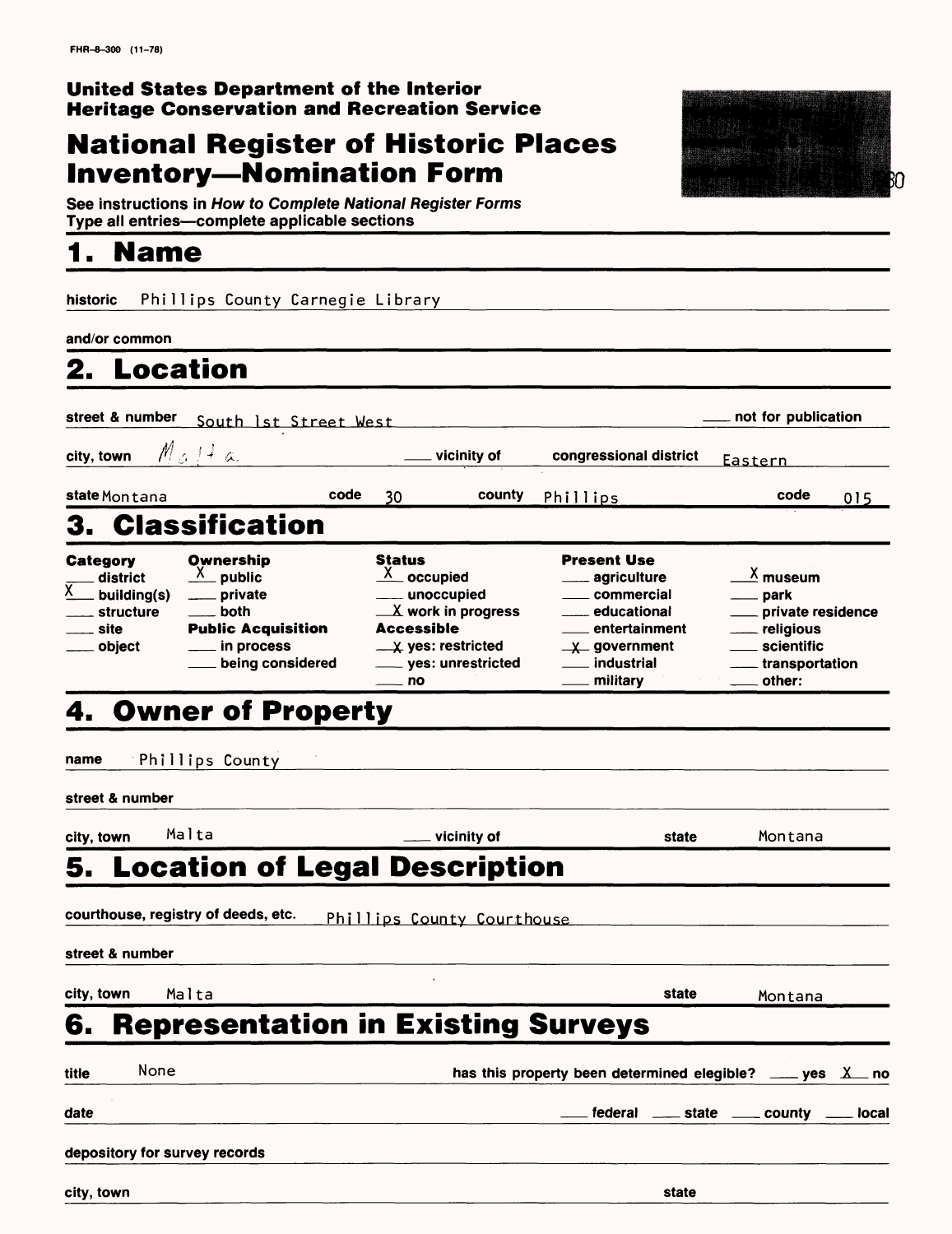### **United States Department of the Interior Heritage Conservation and Recreation Service**

### **National Register of Historic Places Inventory—Nomination Form**

**See instructions in How to Complete National Register Forms Type all entries—complete applicable sections\_\_\_\_\_\_\_\_\_\_\_\_\_\_\_\_**

# **1. Name**

| historic                                                                            | Phillips County Carnegie Library                                                                                                                   |                                                                                                                                                                                                   |                                                                                                                                              |                                                                                                                                                                                |
|-------------------------------------------------------------------------------------|----------------------------------------------------------------------------------------------------------------------------------------------------|---------------------------------------------------------------------------------------------------------------------------------------------------------------------------------------------------|----------------------------------------------------------------------------------------------------------------------------------------------|--------------------------------------------------------------------------------------------------------------------------------------------------------------------------------|
| and/or common                                                                       |                                                                                                                                                    |                                                                                                                                                                                                   |                                                                                                                                              |                                                                                                                                                                                |
|                                                                                     | <b>Location</b>                                                                                                                                    |                                                                                                                                                                                                   |                                                                                                                                              |                                                                                                                                                                                |
| street & number                                                                     | South 1st Street West                                                                                                                              |                                                                                                                                                                                                   |                                                                                                                                              | not for publication                                                                                                                                                            |
| city, town                                                                          | $M_{\odot}$ 14 a                                                                                                                                   | vicinity of                                                                                                                                                                                       | congressional district                                                                                                                       | <u>Eastern</u>                                                                                                                                                                 |
| <b>state</b> Montana                                                                | code                                                                                                                                               | county<br>30                                                                                                                                                                                      | Phillips                                                                                                                                     | code<br>015                                                                                                                                                                    |
|                                                                                     | 3. Classification                                                                                                                                  |                                                                                                                                                                                                   |                                                                                                                                              |                                                                                                                                                                                |
| Category<br>district<br>building(s)<br><sub>–</sub> structure<br>_ site<br>_ object | Ownership<br>$\frac{\lambda}{\lambda}$ public<br>___ private<br>both<br><b>Public Acquisition</b><br>__ in process<br><u>each</u> being considered | <b>Status</b><br>$\frac{\lambda}{\lambda}$ occupied<br>_____ unoccupied<br>$\mathbf{X}$ work in progress<br><b>Accessible</b><br>$\_\mathsf{X}$ yes: restricted<br>____ yes: unrestricted<br>— no | <b>Present Use</b><br>agriculture<br><u>_</u> ___ commercial<br>educational<br>entertainment<br>$x$ government<br>___ industrial<br>military | $\tfrac{\mathsf{X}}{\mathsf{L}}$ museum<br>park<br><sub>—–</sub> private residence<br><u>_</u> __ religious<br><u>_</u> __ scientific<br><u>_</u> ___ transportation<br>other: |
| name                                                                                | Phillips County                                                                                                                                    |                                                                                                                                                                                                   |                                                                                                                                              |                                                                                                                                                                                |
| street & number                                                                     |                                                                                                                                                    |                                                                                                                                                                                                   |                                                                                                                                              |                                                                                                                                                                                |
| city, town                                                                          | Malta                                                                                                                                              | vicinity of                                                                                                                                                                                       | state                                                                                                                                        | Montana                                                                                                                                                                        |
|                                                                                     | 5.  Location of Legal Description                                                                                                                  |                                                                                                                                                                                                   |                                                                                                                                              |                                                                                                                                                                                |
|                                                                                     | courthouse, registry of deeds, etc.                                                                                                                | Phillips County Courthouse                                                                                                                                                                        |                                                                                                                                              |                                                                                                                                                                                |
| street & number                                                                     |                                                                                                                                                    |                                                                                                                                                                                                   |                                                                                                                                              |                                                                                                                                                                                |
| city, town                                                                          | Malta                                                                                                                                              |                                                                                                                                                                                                   | state                                                                                                                                        | Montana                                                                                                                                                                        |
| 6.                                                                                  | <b>Representation in Existing Surveys</b>                                                                                                          |                                                                                                                                                                                                   |                                                                                                                                              |                                                                                                                                                                                |
| None<br>title                                                                       |                                                                                                                                                    |                                                                                                                                                                                                   |                                                                                                                                              | has this property been determined elegible? $\_\_\_\$ yes $X\_\$ no                                                                                                            |
| date                                                                                |                                                                                                                                                    |                                                                                                                                                                                                   |                                                                                                                                              | federal _____ state _____ county _____ local                                                                                                                                   |
| depository for survey records                                                       |                                                                                                                                                    |                                                                                                                                                                                                   |                                                                                                                                              |                                                                                                                                                                                |
| city, town                                                                          |                                                                                                                                                    |                                                                                                                                                                                                   | state                                                                                                                                        |                                                                                                                                                                                |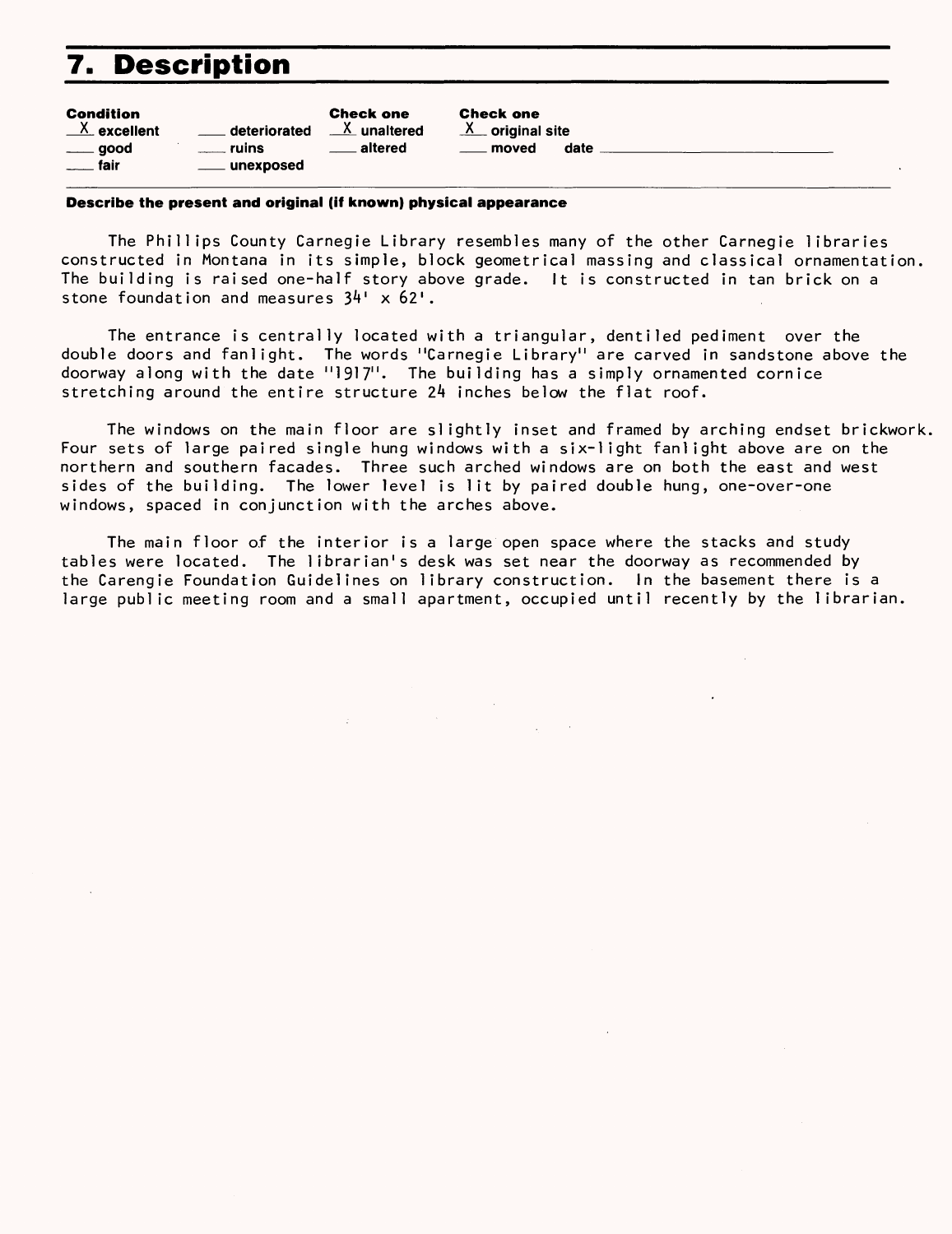## **7. Description**

| <b>Condition</b>          | <b>Check one</b> |               |  |
|---------------------------|------------------|---------------|--|
| $X$ excellent             | deteriorated     | $X$ unaltered |  |
| $\rule{1em}{0.15mm}$ good | ruins            | altered       |  |
| fair                      | unexposed        |               |  |
|                           |                  |               |  |

Check one  $X$  original site moved date

**Describe the present and original (if known) physical appearance**

The Phillips County Carnegie Library resembles many of the other Carnegie libraries constructed in Montana in its simple, block geometrical massing and classical ornamentation. The building is raised one-half story above grade. It is constructed in tan brick on a stone foundation and measures  $34' \times 62'$ .

The entrance is centrally located with a triangular, dentiled pediment over the double doors and fanlight. The words "Carnegie Library" are carved in sandstone above the doorway along with the date "1917". The building has a simply ornamented cornice stretching around the entire structure 24 inches below the flat roof.

The windows on the main floor are slightly inset and framed by arching endset brickwork. Four sets of large paired single hung windows with a six-light fanlight above are on the northern and southern facades. Three such arched windows are on both the east and west sides of the building. The lower level is lit by paired double hung, one-over-one windows, spaced in conjunction with the arches above.

The main floor of the interior is a large open space where the stacks and study tables were located. The librarian's desk was set near the doorway as recommended by the Carengie Foundation Guidelines on library construction. In the basement there is a large public meeting room and a small apartment, occupied until recently by the librarian.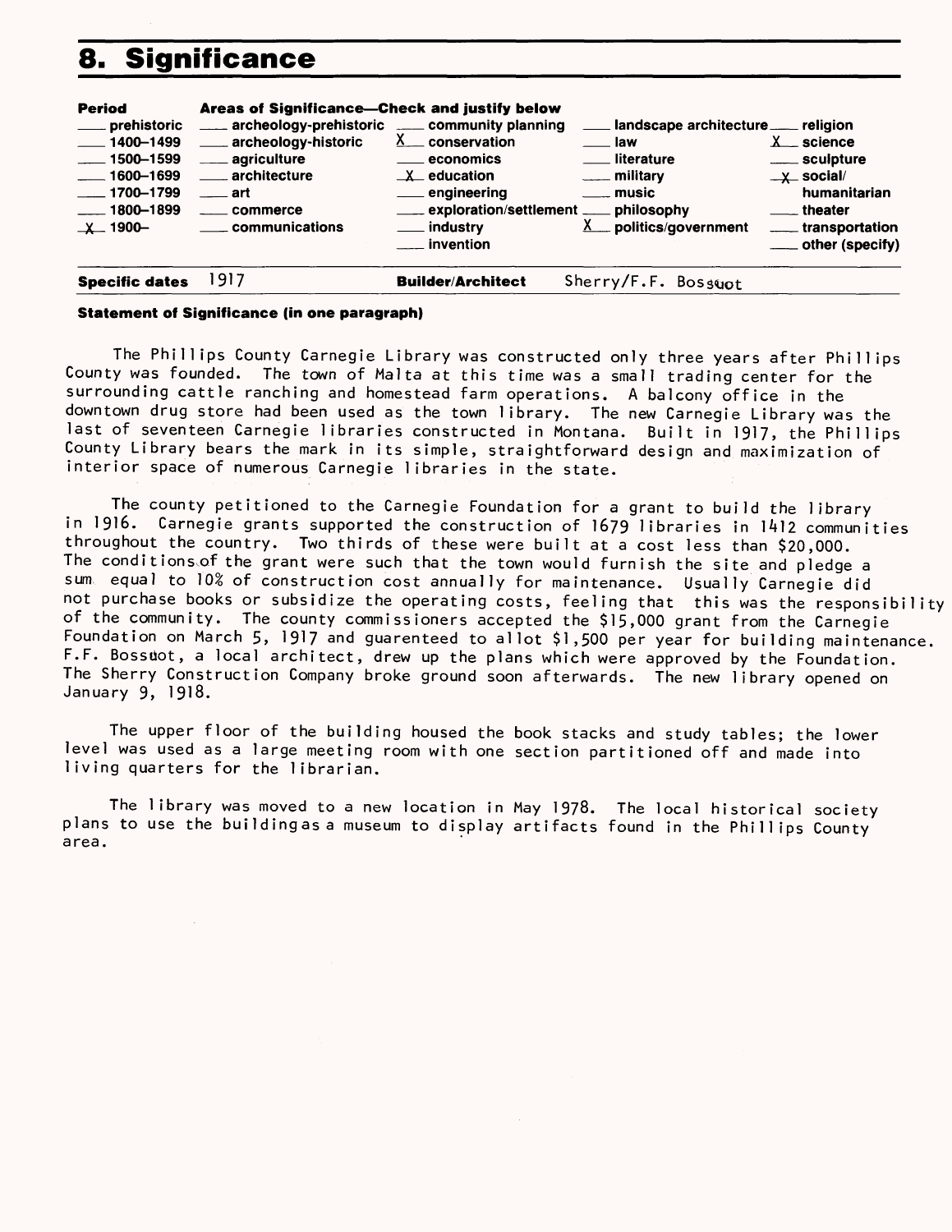## **8. Significance**

| <b>Period</b><br>____ prehistoric<br>$\frac{1}{2}$ 1400–1499<br>$\frac{1}{2}$ 1500–1599<br>$\frac{1600 - 1699}{1600 - 1699}$<br>$\frac{1}{2}$ 1700–1799<br>$\frac{1}{2}$ 1800–1899<br>_ <u>х</u> __ 1900— | Areas of Significance—Check and justify below<br>archeology-prehistoric ______ community planning<br>____ archeology-historic<br>___ agriculture<br>____ architecture<br>art art<br>____ commerce<br><u>__</u> __ communications | $X_{\text{}}$ conservation<br><u>_</u> ___ economics<br>$X$ education<br><u>_</u> __ engineering<br>____ exploration/settlement ___ philosophy<br>___ industry<br><u>__</u> __ invention | ___ landscape architecture ___ religion<br><u>_____</u> law<br>___ literature<br><u>_</u> __ military<br>$\equiv$ music<br>$X$ politics/government | $X_{\text{}}$ science<br>_____ sculpture<br>$x$ social/<br>humanitarian<br><u>__</u> _theater<br>____ transportation<br>___ other (specify) |
|-----------------------------------------------------------------------------------------------------------------------------------------------------------------------------------------------------------|----------------------------------------------------------------------------------------------------------------------------------------------------------------------------------------------------------------------------------|------------------------------------------------------------------------------------------------------------------------------------------------------------------------------------------|----------------------------------------------------------------------------------------------------------------------------------------------------|---------------------------------------------------------------------------------------------------------------------------------------------|
| <b>Specific dates</b>                                                                                                                                                                                     | 1917                                                                                                                                                                                                                             | <b>Builder/Architect</b>                                                                                                                                                                 | Sherry/F.F. Bossunt                                                                                                                                |                                                                                                                                             |

#### **Statement of Significance (in one paragraph)**

The Phillips County Carnegie Library was constructed only three years after Phillips County was founded. The town of Malta at this time was a small trading center for the surrounding cattle ranching and homestead farm operations. A balcony office in the downtown drug store had been used as the town library. The new Carnegie Library was the last of seventeen Carnegie libraries constructed in Montana. Built in 1917, the Phillips County Library bears the mark in its simple, straightforward design and maximization of interior space of numerous Carnegie libraries in the state.

The county petitioned to the Carnegie Foundation for a grant to build the library in 1916. Carnegie grants supported the construction of 1679 libraries in 1412 communities throughout the country. Two thirds of these were built at a cost less than \$20,000. The conditions of the grant were such that the town would furnish the site and pledge a sum equal to 10% of construction cost annually for maintenance. Usually Carnegie did not purchase books or subsidize the operating costs, feeling that this was the responsibility of the community. The county commissioners accepted the \$15,000 grant from the Carnegie Foundation on March 5, 1917 and guarenteed to allot \$1,500 per year for building maintenance. F.F. Bossuot, a local architect, drew up the plans which were approved by the Foundation. The Sherry Construction Company broke ground soon afterwards. The new library opened on January 9, 1918.

The upper floor of the building housed the book stacks and study tables; the lower level was used as a large meeting room with one section partitioned off and made into living quarters for the librarian.

The library was moved to a new location in May 1978. The local historical society plans to use the buildingasa museum to display artifacts found in the Phillips County area.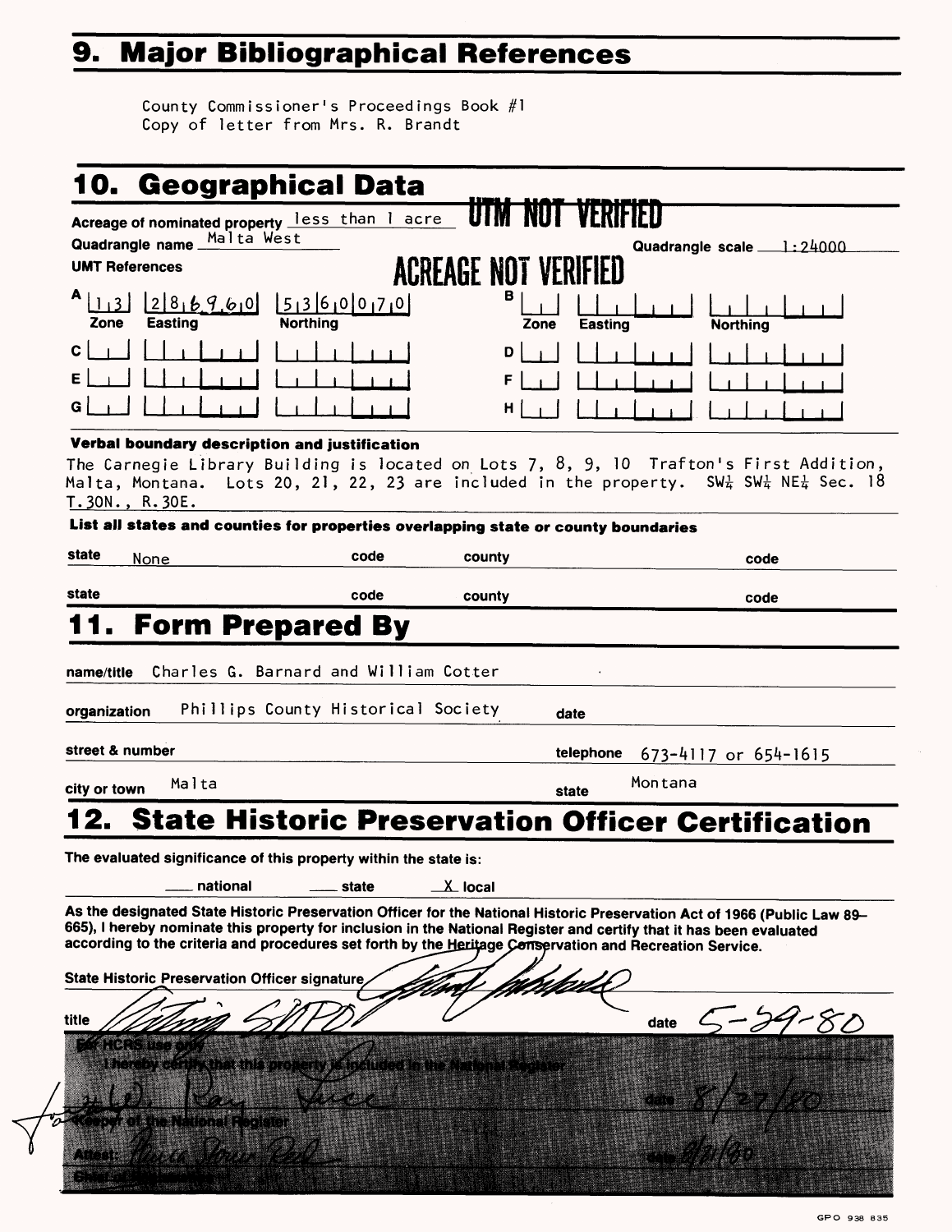# **9. Major Bibliographical References**

County Commissioner's Proceedings Book #1 Copy of letter from Mrs. R. Brandt

| 10. Geographical Data                                                                                   |                                       |                                |                                                                                                                                                                                                                                                 |
|---------------------------------------------------------------------------------------------------------|---------------------------------------|--------------------------------|-------------------------------------------------------------------------------------------------------------------------------------------------------------------------------------------------------------------------------------------------|
| Acreage of nominated property less than lacre                                                           |                                       | UIM NUI VERIFIEU               |                                                                                                                                                                                                                                                 |
| Malta West<br>Quadrangle name                                                                           |                                       |                                | Quadrangle scale $1:24000$                                                                                                                                                                                                                      |
| <b>UMT References</b>                                                                                   |                                       | <b>ACREAGE NOT VERIFIEU</b>    |                                                                                                                                                                                                                                                 |
| A<br>286960<br>113<br>Zone<br>Easting                                                                   | 513 610 017 0 <br><b>Northing</b>     | в<br>Zone                      | <b>Easting</b><br><b>Northing</b>                                                                                                                                                                                                               |
| с                                                                                                       |                                       | D<br>F<br>н                    |                                                                                                                                                                                                                                                 |
| Verbal boundary description and justification                                                           |                                       |                                |                                                                                                                                                                                                                                                 |
| $T.30N.$ , $R.30E.$                                                                                     |                                       |                                | The Carnegie Library Building is located on Lots 7, 8, 9, 10 Trafton's First Addition,<br>Malta, Montana.  Lots 20, 21, 22, 23 are included in the property.  SW $\frac{1}{4}$ SW $\frac{1}{4}$ NE $\frac{1}{4}$ Sec. 18                        |
| List all states and counties for properties overlapping state or county boundaries                      |                                       |                                |                                                                                                                                                                                                                                                 |
| state<br>None                                                                                           | code                                  | county                         | code                                                                                                                                                                                                                                            |
| state                                                                                                   | code                                  | county                         | code                                                                                                                                                                                                                                            |
| <b>Form Prepared By</b>                                                                                 |                                       |                                |                                                                                                                                                                                                                                                 |
|                                                                                                         |                                       |                                |                                                                                                                                                                                                                                                 |
| name/title                                                                                              | Charles G. Barnard and William Cotter |                                |                                                                                                                                                                                                                                                 |
| organization                                                                                            | Phillips County Historical Society    | date                           |                                                                                                                                                                                                                                                 |
| street & number                                                                                         |                                       |                                | telephone<br>673-4117 or 654-1615                                                                                                                                                                                                               |
| Malta<br>city or town                                                                                   |                                       | state                          | Montana                                                                                                                                                                                                                                         |
|                                                                                                         |                                       |                                | <b>State Historic Preservation Officer Certification</b>                                                                                                                                                                                        |
| The evaluated significance of this property within the state is:                                        |                                       |                                |                                                                                                                                                                                                                                                 |
| national                                                                                                | state                                 | $\mathsf{\underline{X}}$ local |                                                                                                                                                                                                                                                 |
| according to the criteria and procedures set forth by the Heritage Conservation and Recreation Service. |                                       |                                | As the designated State Historic Preservation Officer for the National Historic Preservation Act of 1966 (Public Law 89-<br>665), I hereby nominate this property for inclusion in the National Register and certify that it has been evaluated |
| State Historic Preservation Officer signature                                                           |                                       |                                |                                                                                                                                                                                                                                                 |
|                                                                                                         |                                       |                                |                                                                                                                                                                                                                                                 |
| title                                                                                                   |                                       |                                | date                                                                                                                                                                                                                                            |
| there a vessible shorthly progent is being<br>he National <del>T</del> egi                              |                                       |                                |                                                                                                                                                                                                                                                 |
|                                                                                                         |                                       |                                |                                                                                                                                                                                                                                                 |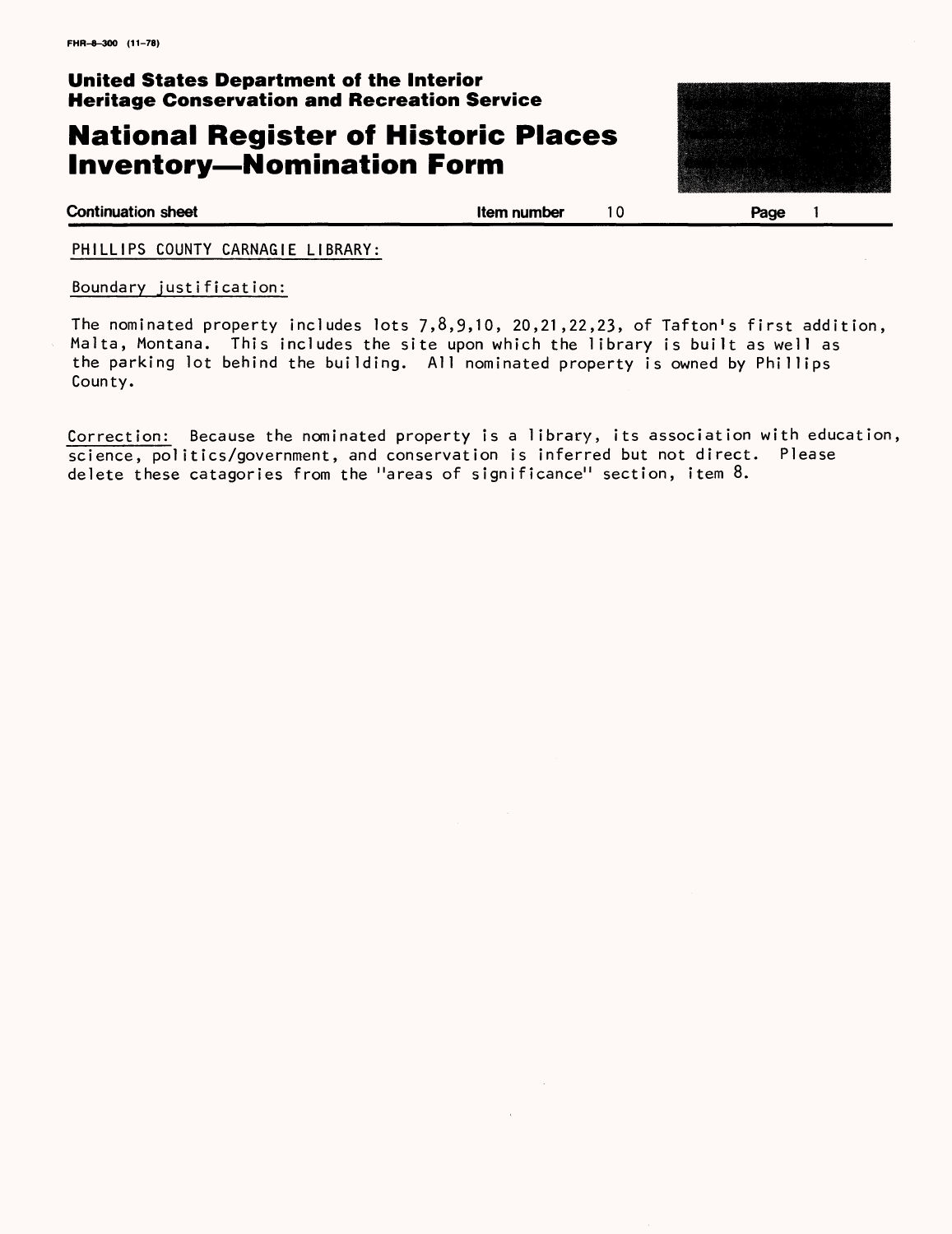### **United States Department of the Interior Heritage Conservation and Recreation Service**

### **National Register of Historic Places Inventory—Nomination Form**



**Continuation sheet Continuation sheet Continuation sheet Continuation sheet Continuation sheet Continuation Page 1** 

PHILLIPS COUNTY CARNAGIE LIBRARY:

#### Boundary justification:

The nominated property includes lots 7,8,9,10, 20,21,22,23, of Tafton's first addition, Malta, Montana. This includes the site upon which the library is built as well as the parking lot behind the building. All nominated property is owned by Phillips County.

Correction: Because the nominated property is a library, its association with education, science, politics/government, and conservation is inferred but not direct. Please delete these catagories from the "areas of significance" section, item 8.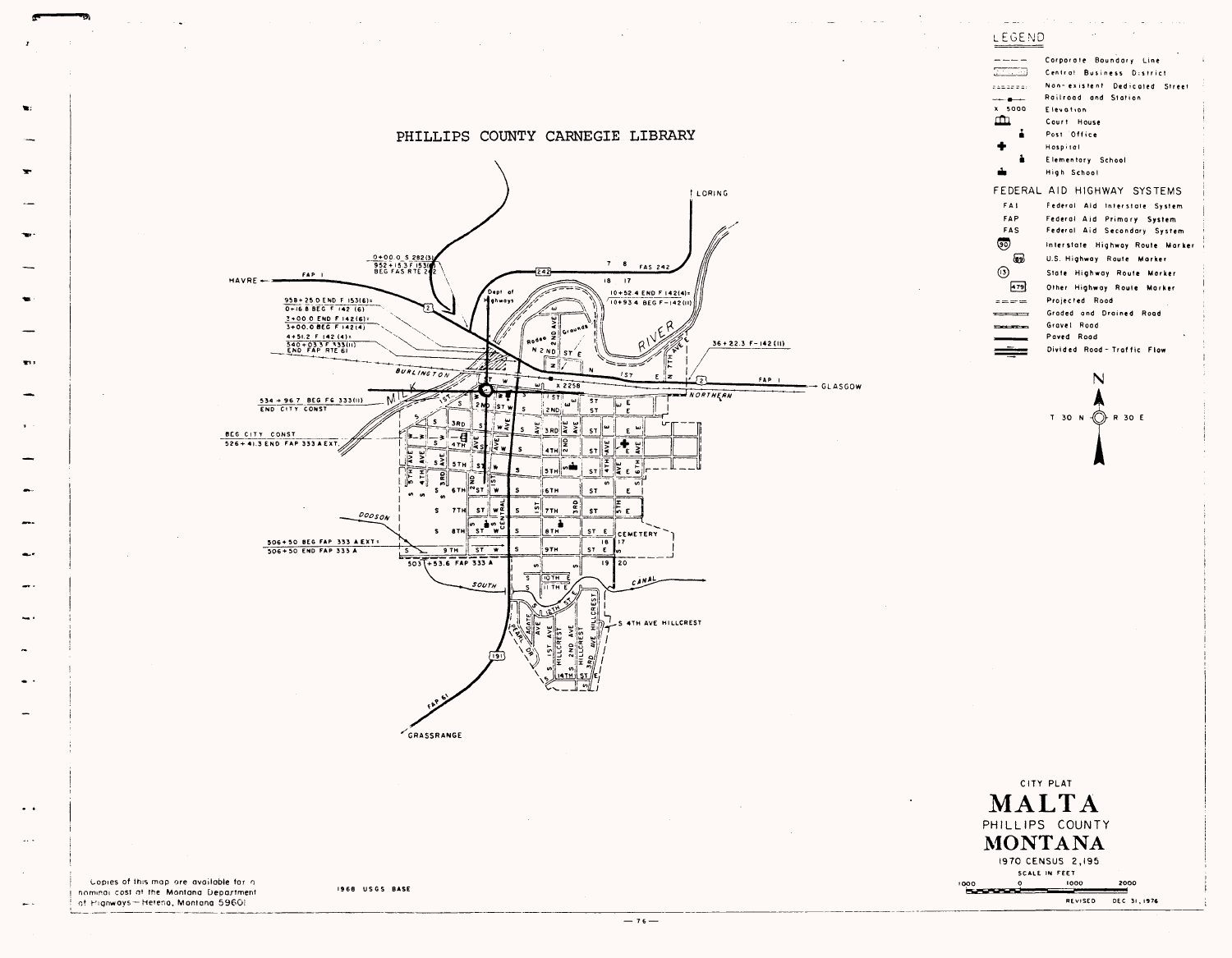

Copies of this map are available for a nominal cost at the Montana Department of Highways-Helena, Montana 5960!

m,

1968 USGS BASE

 $0000$ 

REVISED DEC 31, 1976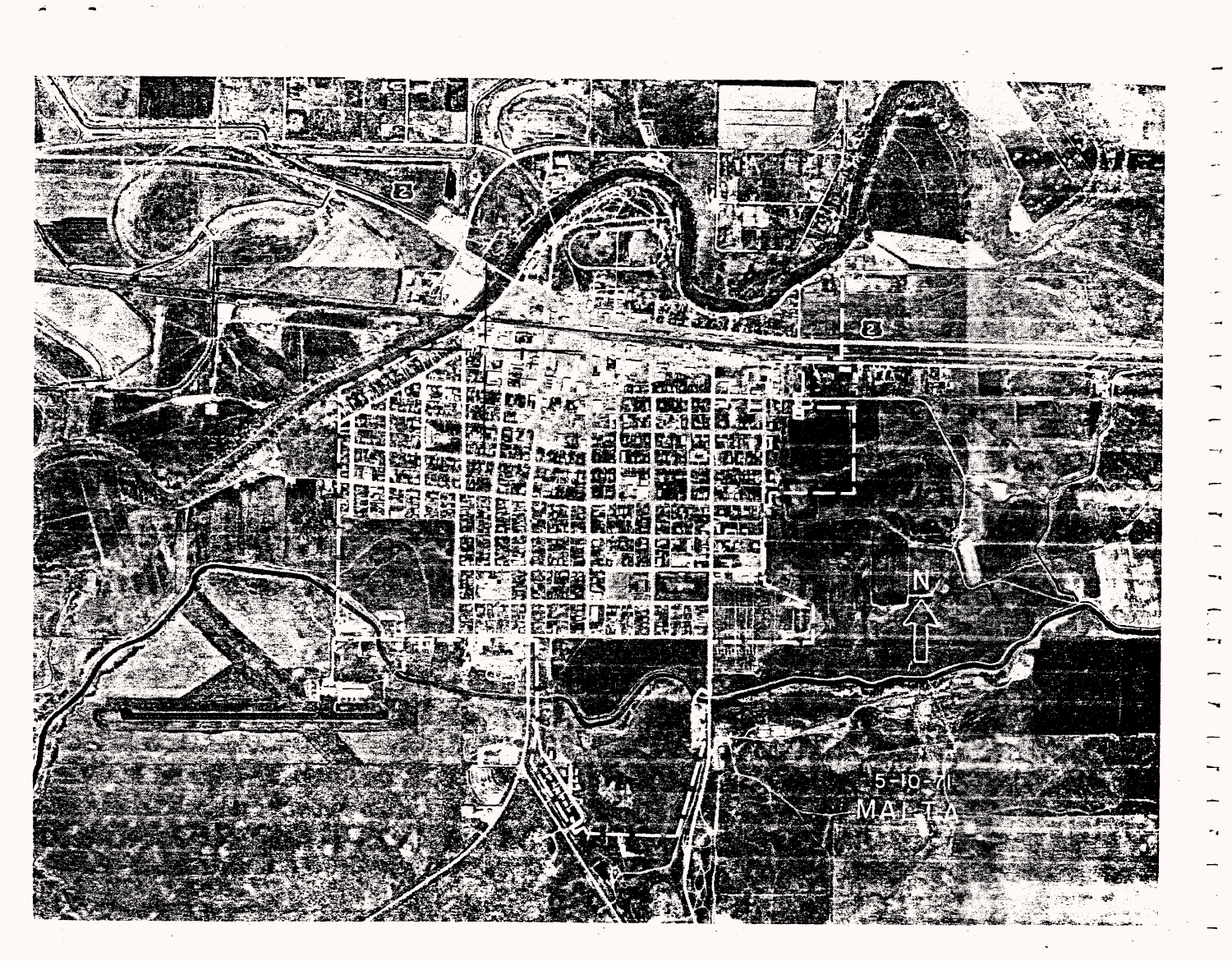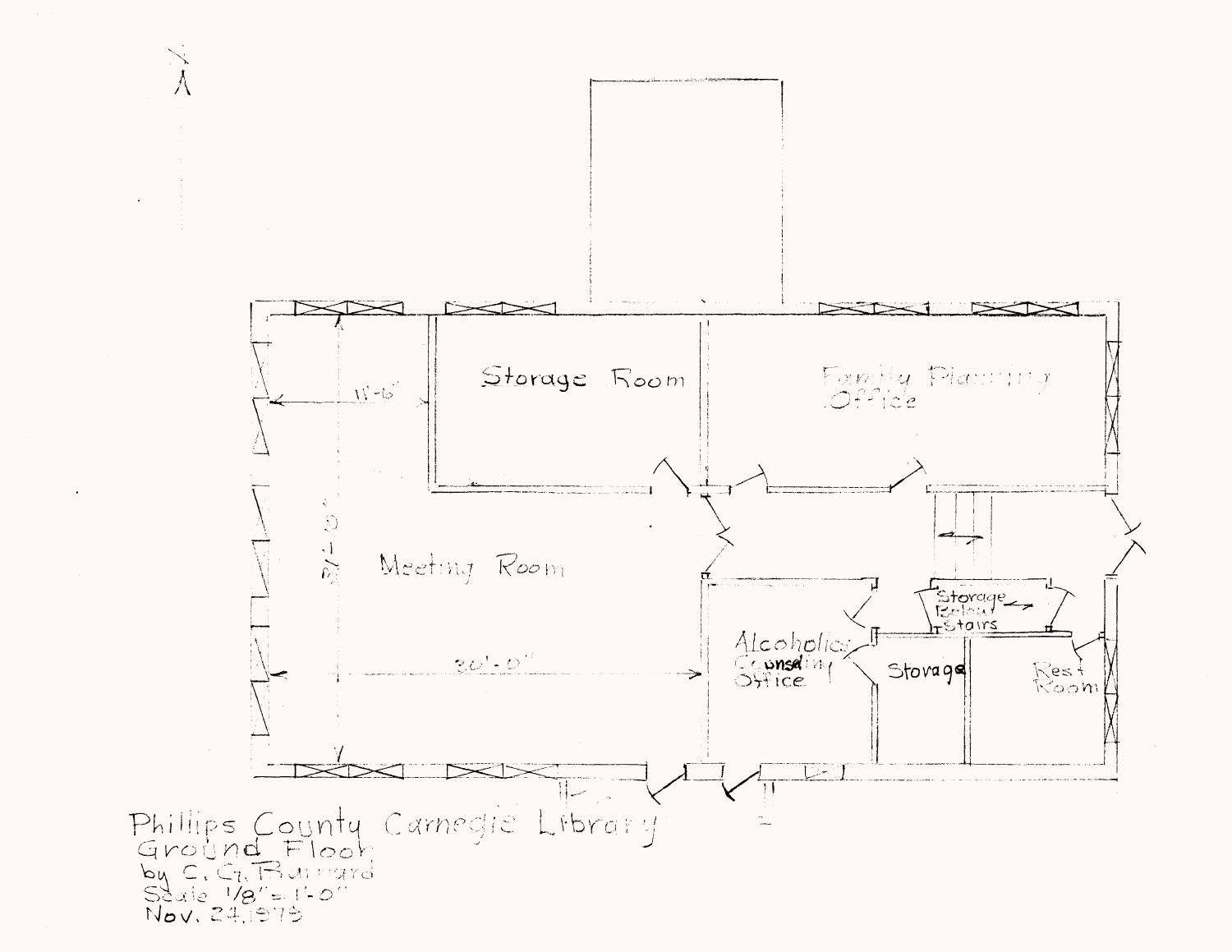